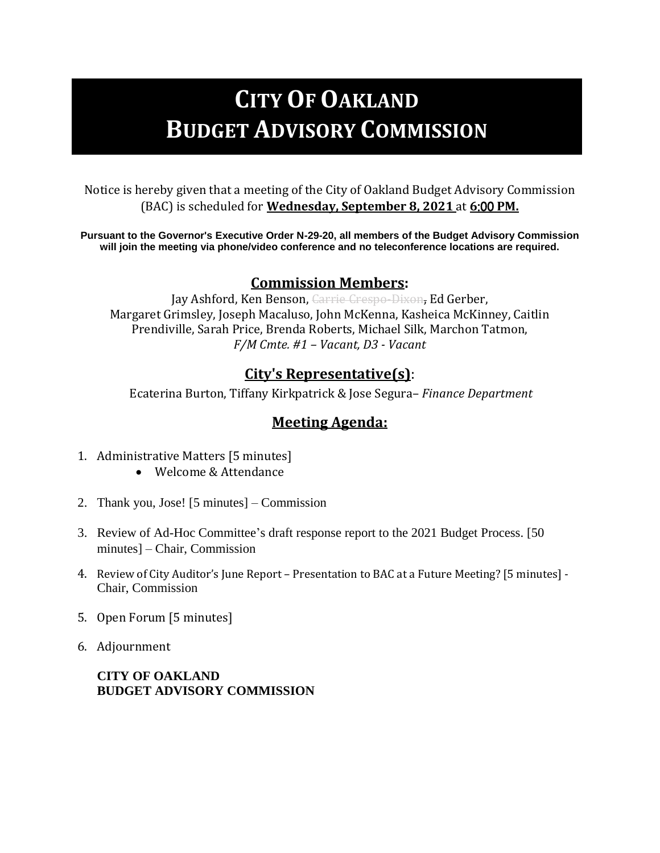# **CITY OF OAKLAND BUDGET ADVISORY COMMISSION**

Notice is hereby given that a meeting of the City of Oakland Budget Advisory Commission (BAC) is scheduled for **Wednesday, September 8, 2021** at **6**:00 **PM.** 

**Pursuant to the Governor's Executive Order N-29-20, all members of the Budget Advisory Commission will join the meeting via phone/video conference and no teleconference locations are required.**

#### **Commission Members:**

Jay Ashford, Ken Benson, Carrie Crespo-Dixon, Ed Gerber, Margaret Grimsley, Joseph Macaluso, John McKenna, Kasheica McKinney, Caitlin Prendiville, Sarah Price, Brenda Roberts, Michael Silk, Marchon Tatmon, *F/M Cmte. #1 – Vacant, D3 - Vacant*

### **City's Representative(s)**:

Ecaterina Burton, Tiffany Kirkpatrick & Jose Segura– *Finance Department*

## **Meeting Agenda:**

- 1. Administrative Matters [5 minutes]
	- Welcome & Attendance
- 2. Thank you, Jose! [5 minutes] Commission
- 3. Review of Ad-Hoc Committee's draft response report to the 2021 Budget Process. [50 minutes] – Chair, Commission
- 4. Review of City Auditor's June Report Presentation to BAC at a Future Meeting? [5 minutes] Chair, Commission
- 5. Open Forum [5 minutes]
- 6. Adjournment

**CITY OF OAKLAND BUDGET ADVISORY COMMISSION**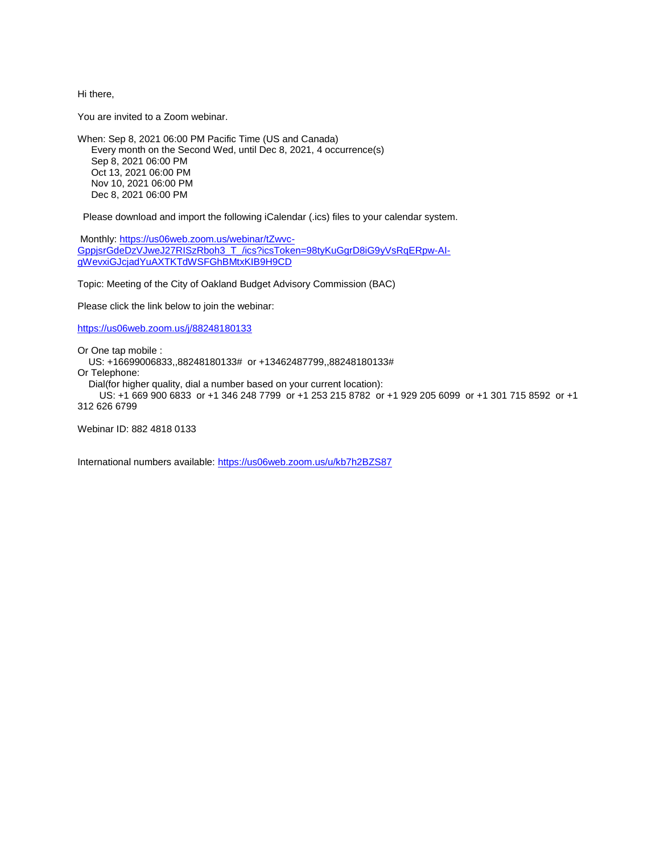Hi there,

You are invited to a Zoom webinar.

When: Sep 8, 2021 06:00 PM Pacific Time (US and Canada) Every month on the Second Wed, until Dec 8, 2021, 4 occurrence(s) Sep 8, 2021 06:00 PM Oct 13, 2021 06:00 PM Nov 10, 2021 06:00 PM Dec 8, 2021 06:00 PM

Please download and import the following iCalendar (.ics) files to your calendar system.

Monthly: [https://us06web.zoom.us/webinar/tZwvc-](https://us06web.zoom.us/webinar/tZwvc-GppjsrGdeDzVJweJ27RISzRboh3_T_/ics?icsToken=98tyKuGgrD8iG9yVsRqERpw-AI-gWevxiGJcjadYuAXTKTdWSFGhBMtxKIB9H9CD)[GppjsrGdeDzVJweJ27RISzRboh3\\_T\\_/ics?icsToken=98tyKuGgrD8iG9yVsRqERpw-AI](https://us06web.zoom.us/webinar/tZwvc-GppjsrGdeDzVJweJ27RISzRboh3_T_/ics?icsToken=98tyKuGgrD8iG9yVsRqERpw-AI-gWevxiGJcjadYuAXTKTdWSFGhBMtxKIB9H9CD)[gWevxiGJcjadYuAXTKTdWSFGhBMtxKIB9H9CD](https://us06web.zoom.us/webinar/tZwvc-GppjsrGdeDzVJweJ27RISzRboh3_T_/ics?icsToken=98tyKuGgrD8iG9yVsRqERpw-AI-gWevxiGJcjadYuAXTKTdWSFGhBMtxKIB9H9CD)

Topic: Meeting of the City of Oakland Budget Advisory Commission (BAC)

Please click the link below to join the webinar:

<https://us06web.zoom.us/j/88248180133>

Or One tap mobile :

US: +16699006833,,88248180133# or +13462487799,,88248180133#

Or Telephone:

Dial(for higher quality, dial a number based on your current location):

 US: +1 669 900 6833 or +1 346 248 7799 or +1 253 215 8782 or +1 929 205 6099 or +1 301 715 8592 or +1 312 626 6799

Webinar ID: 882 4818 0133

International numbers available:<https://us06web.zoom.us/u/kb7h2BZS87>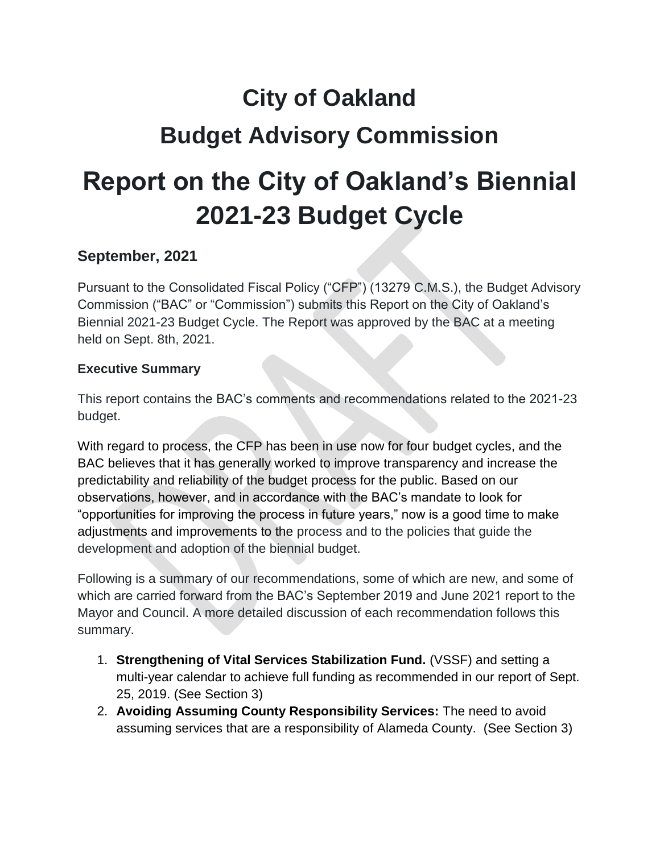# **City of Oakland Budget Advisory Commission**

# **Report on the City of Oakland's Biennial 2021-23 Budget Cycle**

## **September, 2021**

Pursuant to the Consolidated Fiscal Policy ("CFP") (13279 C.M.S.), the Budget Advisory Commission ("BAC" or "Commission") submits this Report on the City of Oakland's Biennial 2021-23 Budget Cycle. The Report was approved by the BAC at a meeting held on Sept. 8th, 2021.

#### **Executive Summary**

This report contains the BAC's comments and recommendations related to the 2021-23 budget.

With regard to process, the CFP has been in use now for four budget cycles, and the BAC believes that it has generally worked to improve transparency and increase the predictability and reliability of the budget process for the public. Based on our observations, however, and in accordance with the BAC's mandate to look for "opportunities for improving the process in future years," now is a good time to make adjustments and improvements to the process and to the policies that guide the development and adoption of the biennial budget.

Following is a summary of our recommendations, some of which are new, and some of which are carried forward from the BAC's September 2019 and June 2021 report to the Mayor and Council. A more detailed discussion of each recommendation follows this summary.

- 1. **Strengthening of Vital Services Stabilization Fund.** (VSSF) and setting a multi-year calendar to achieve full funding as recommended in our report of Sept. 25, 2019. (See Section 3)
- 2. **Avoiding Assuming County Responsibility Services:** The need to avoid assuming services that are a responsibility of Alameda County. (See Section 3)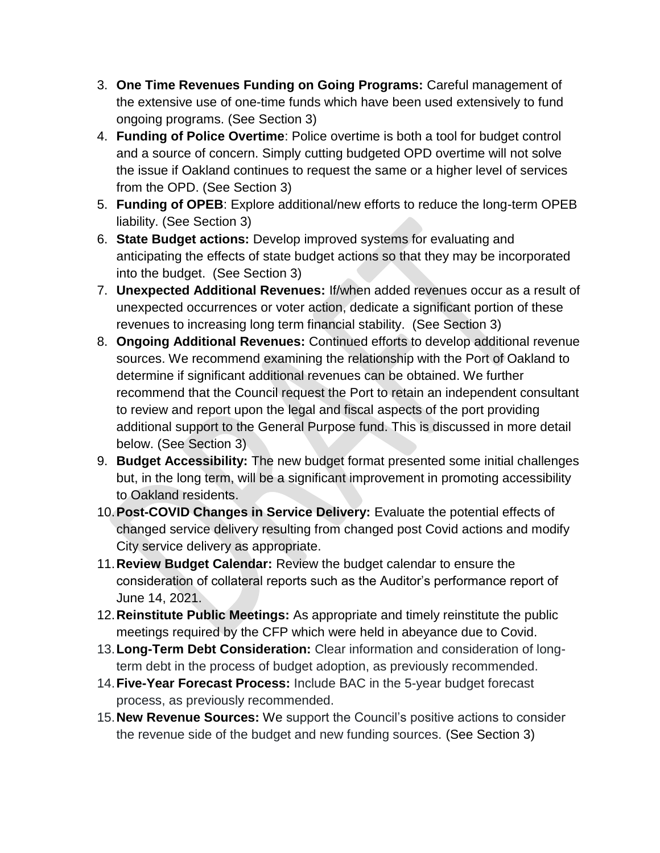- 3. **One Time Revenues Funding on Going Programs:** Careful management of the extensive use of one-time funds which have been used extensively to fund ongoing programs. (See Section 3)
- 4. **Funding of Police Overtime**: Police overtime is both a tool for budget control and a source of concern. Simply cutting budgeted OPD overtime will not solve the issue if Oakland continues to request the same or a higher level of services from the OPD. (See Section 3)
- 5. **Funding of OPEB**: Explore additional/new efforts to reduce the long-term OPEB liability. (See Section 3)
- 6. **State Budget actions:** Develop improved systems for evaluating and anticipating the effects of state budget actions so that they may be incorporated into the budget. (See Section 3)
- 7. **Unexpected Additional Revenues:** If/when added revenues occur as a result of unexpected occurrences or voter action, dedicate a significant portion of these revenues to increasing long term financial stability. (See Section 3)
- 8. **Ongoing Additional Revenues:** Continued efforts to develop additional revenue sources. We recommend examining the relationship with the Port of Oakland to determine if significant additional revenues can be obtained. We further recommend that the Council request the Port to retain an independent consultant to review and report upon the legal and fiscal aspects of the port providing additional support to the General Purpose fund. This is discussed in more detail below. (See Section 3)
- 9. **Budget Accessibility:** The new budget format presented some initial challenges but, in the long term, will be a significant improvement in promoting accessibility to Oakland residents.
- 10.**Post-COVID Changes in Service Delivery:** Evaluate the potential effects of changed service delivery resulting from changed post Covid actions and modify City service delivery as appropriate.
- 11.**Review Budget Calendar:** Review the budget calendar to ensure the consideration of collateral reports such as the Auditor's performance report of June 14, 2021.
- 12.**Reinstitute Public Meetings:** As appropriate and timely reinstitute the public meetings required by the CFP which were held in abeyance due to Covid.
- 13.**Long-Term Debt Consideration:** Clear information and consideration of longterm debt in the process of budget adoption, as previously recommended.
- 14.**Five-Year Forecast Process:** Include BAC in the 5-year budget forecast process, as previously recommended.
- 15.**New Revenue Sources:** We support the Council's positive actions to consider the revenue side of the budget and new funding sources. (See Section 3)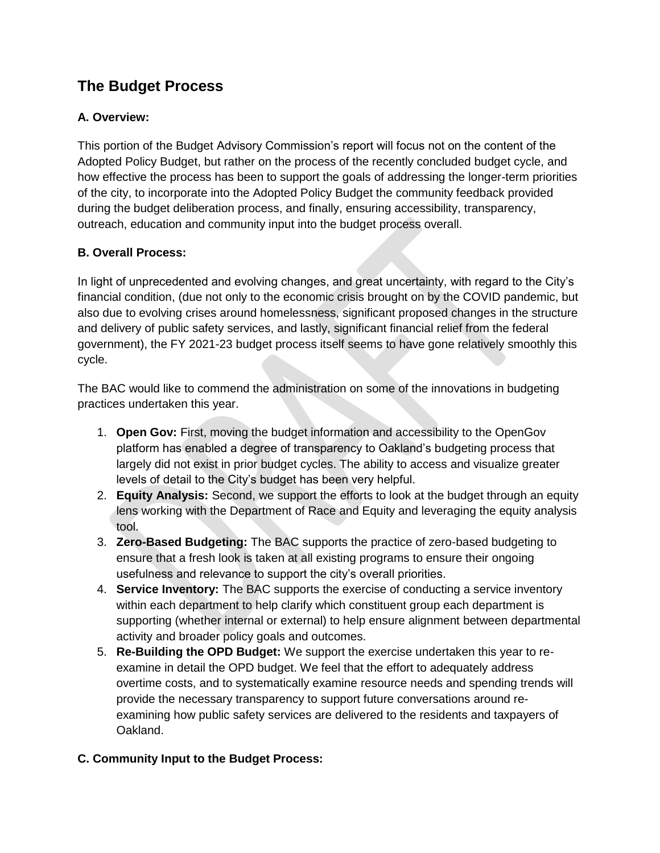# **The Budget Process**

#### **A. Overview:**

This portion of the Budget Advisory Commission's report will focus not on the content of the Adopted Policy Budget, but rather on the process of the recently concluded budget cycle, and how effective the process has been to support the goals of addressing the longer-term priorities of the city, to incorporate into the Adopted Policy Budget the community feedback provided during the budget deliberation process, and finally, ensuring accessibility, transparency, outreach, education and community input into the budget process overall.

#### **B. Overall Process:**

In light of unprecedented and evolving changes, and great uncertainty, with regard to the City's financial condition, (due not only to the economic crisis brought on by the COVID pandemic, but also due to evolving crises around homelessness, significant proposed changes in the structure and delivery of public safety services, and lastly, significant financial relief from the federal government), the FY 2021-23 budget process itself seems to have gone relatively smoothly this cycle.

The BAC would like to commend the administration on some of the innovations in budgeting practices undertaken this year.

- 1. **Open Gov:** First, moving the budget information and accessibility to the OpenGov platform has enabled a degree of transparency to Oakland's budgeting process that largely did not exist in prior budget cycles. The ability to access and visualize greater levels of detail to the City's budget has been very helpful.
- 2. **Equity Analysis:** Second, we support the efforts to look at the budget through an equity lens working with the Department of Race and Equity and leveraging the equity analysis tool.
- 3. **Zero-Based Budgeting:** The BAC supports the practice of zero-based budgeting to ensure that a fresh look is taken at all existing programs to ensure their ongoing usefulness and relevance to support the city's overall priorities.
- 4. **Service Inventory:** The BAC supports the exercise of conducting a service inventory within each department to help clarify which constituent group each department is supporting (whether internal or external) to help ensure alignment between departmental activity and broader policy goals and outcomes.
- 5. **Re-Building the OPD Budget:** We support the exercise undertaken this year to reexamine in detail the OPD budget. We feel that the effort to adequately address overtime costs, and to systematically examine resource needs and spending trends will provide the necessary transparency to support future conversations around reexamining how public safety services are delivered to the residents and taxpayers of Oakland.

#### **C. Community Input to the Budget Process:**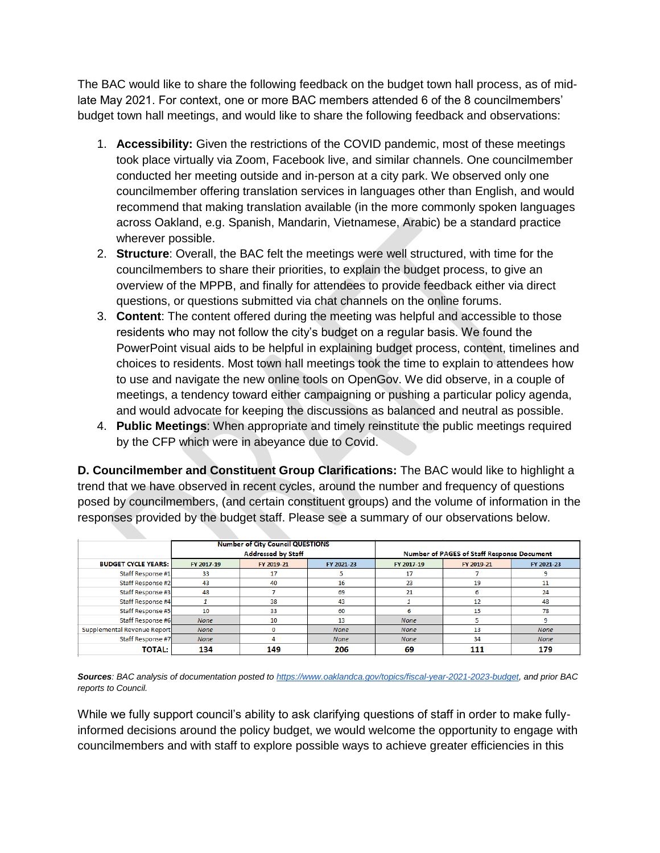The BAC would like to share the following feedback on the budget town hall process, as of midlate May 2021. For context, one or more BAC members attended 6 of the 8 councilmembers' budget town hall meetings, and would like to share the following feedback and observations:

- 1. **Accessibility:** Given the restrictions of the COVID pandemic, most of these meetings took place virtually via Zoom, Facebook live, and similar channels. One councilmember conducted her meeting outside and in-person at a city park. We observed only one councilmember offering translation services in languages other than English, and would recommend that making translation available (in the more commonly spoken languages across Oakland, e.g. Spanish, Mandarin, Vietnamese, Arabic) be a standard practice wherever possible.
- 2. **Structure**: Overall, the BAC felt the meetings were well structured, with time for the councilmembers to share their priorities, to explain the budget process, to give an overview of the MPPB, and finally for attendees to provide feedback either via direct questions, or questions submitted via chat channels on the online forums.
- 3. **Content**: The content offered during the meeting was helpful and accessible to those residents who may not follow the city's budget on a regular basis. We found the PowerPoint visual aids to be helpful in explaining budget process, content, timelines and choices to residents. Most town hall meetings took the time to explain to attendees how to use and navigate the new online tools on OpenGov. We did observe, in a couple of meetings, a tendency toward either campaigning or pushing a particular policy agenda, and would advocate for keeping the discussions as balanced and neutral as possible.
- 4. **Public Meetings**: When appropriate and timely reinstitute the public meetings required by the CFP which were in abeyance due to Covid.

**D. Councilmember and Constituent Group Clarifications:** The BAC would like to highlight a trend that we have observed in recent cycles, around the number and frequency of questions posed by councilmembers, (and certain constituent groups) and the volume of information in the responses provided by the budget staff. Please see a summary of our observations below.

|                             | <b>Number of City Council QUESTIONS</b> |            |             |                                            |            |             |
|-----------------------------|-----------------------------------------|------------|-------------|--------------------------------------------|------------|-------------|
|                             | <b>Addressed by Staff</b>               |            |             | Number of PAGES of Staff Response Document |            |             |
| <b>BUDGET CYCLE YEARS:</b>  | FY 2017-19                              | FY 2019-21 | FY 2021-23  | FY 2017-19                                 | FY 2019-21 | FY 2021-23  |
| Staff Response #1           | 33                                      | 17         |             | 17                                         |            |             |
| Staff Response #2           | 43                                      | 40         | 16          | 23                                         | 19         | 11          |
| Staff Response #3           | 48                                      |            | 69          | 21                                         |            | 24          |
| Staff Response #4           |                                         | 38         | 43          |                                            | 12         | 48          |
| Staff Response #5           | 10                                      | 33         | 60          |                                            | 15         | 78          |
| Staff Response #6           | <b>None</b>                             | 10         | 13          | <b>None</b>                                |            |             |
| Supplemental Revenue Report | <b>None</b>                             |            | <b>None</b> | <b>None</b>                                | 13         | <b>None</b> |
| Staff Response #7           | <b>None</b>                             |            | <b>None</b> | <b>None</b>                                | 34         | <b>None</b> |
| <b>TOTAL:</b>               | 134                                     | 149        | 206         | 69                                         | 111        | 179         |

*Sources: BAC analysis of documentation posted t[o https://www.oaklandca.gov/topics/fiscal-year-2021-2023-budget,](https://www.oaklandca.gov/topics/fiscal-year-2021-2023-budget) and prior BAC reports to Council.*

While we fully support council's ability to ask clarifying questions of staff in order to make fullyinformed decisions around the policy budget, we would welcome the opportunity to engage with councilmembers and with staff to explore possible ways to achieve greater efficiencies in this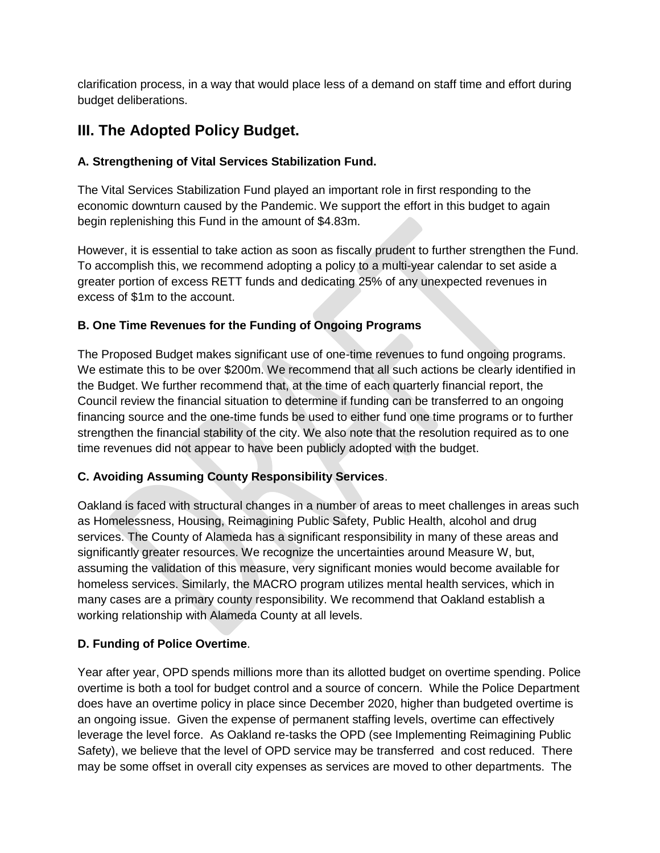clarification process, in a way that would place less of a demand on staff time and effort during budget deliberations.

# **III. The Adopted Policy Budget.**

#### **A. Strengthening of Vital Services Stabilization Fund.**

The Vital Services Stabilization Fund played an important role in first responding to the economic downturn caused by the Pandemic. We support the effort in this budget to again begin replenishing this Fund in the amount of \$4.83m.

However, it is essential to take action as soon as fiscally prudent to further strengthen the Fund. To accomplish this, we recommend adopting a policy to a multi-year calendar to set aside a greater portion of excess RETT funds and dedicating 25% of any unexpected revenues in excess of \$1m to the account.

#### **B. One Time Revenues for the Funding of Ongoing Programs**

The Proposed Budget makes significant use of one-time revenues to fund ongoing programs. We estimate this to be over \$200m. We recommend that all such actions be clearly identified in the Budget. We further recommend that, at the time of each quarterly financial report, the Council review the financial situation to determine if funding can be transferred to an ongoing financing source and the one-time funds be used to either fund one time programs or to further strengthen the financial stability of the city. We also note that the resolution required as to one time revenues did not appear to have been publicly adopted with the budget.

#### **C. Avoiding Assuming County Responsibility Services**.

Oakland is faced with structural changes in a number of areas to meet challenges in areas such as Homelessness, Housing, Reimagining Public Safety, Public Health, alcohol and drug services. The County of Alameda has a significant responsibility in many of these areas and significantly greater resources. We recognize the uncertainties around Measure W, but, assuming the validation of this measure, very significant monies would become available for homeless services. Similarly, the MACRO program utilizes mental health services, which in many cases are a primary county responsibility. We recommend that Oakland establish a working relationship with Alameda County at all levels.

#### **D. Funding of Police Overtime**.

Year after year, OPD spends millions more than its allotted budget on overtime spending. Police overtime is both a tool for budget control and a source of concern. While the Police Department does have an overtime policy in place since December 2020, higher than budgeted overtime is an ongoing issue. Given the expense of permanent staffing levels, overtime can effectively leverage the level force. As Oakland re-tasks the OPD (see Implementing Reimagining Public Safety), we believe that the level of OPD service may be transferred and cost reduced. There may be some offset in overall city expenses as services are moved to other departments. The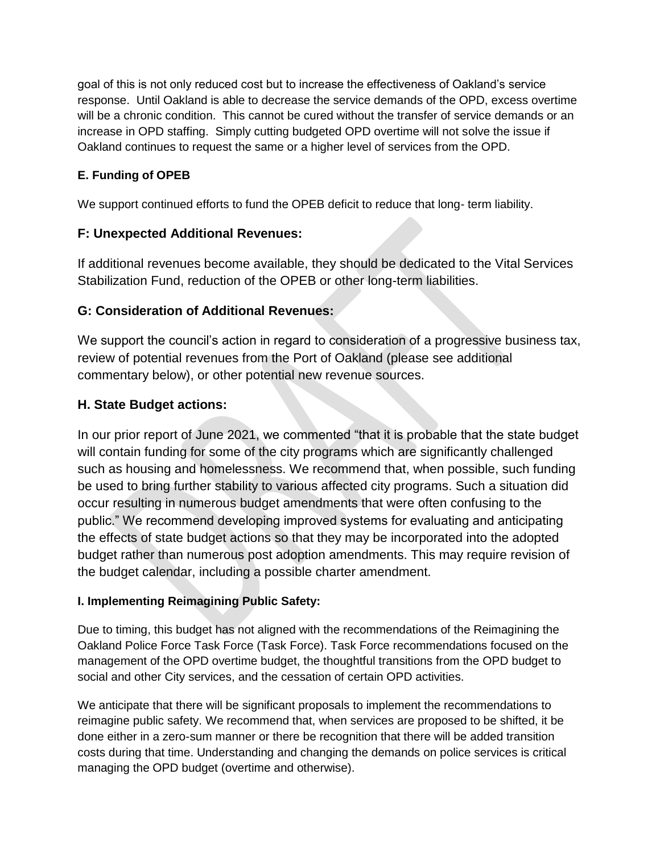goal of this is not only reduced cost but to increase the effectiveness of Oakland's service response. Until Oakland is able to decrease the service demands of the OPD, excess overtime will be a chronic condition. This cannot be cured without the transfer of service demands or an increase in OPD staffing. Simply cutting budgeted OPD overtime will not solve the issue if Oakland continues to request the same or a higher level of services from the OPD.

#### **E. Funding of OPEB**

We support continued efforts to fund the OPEB deficit to reduce that long- term liability.

#### **F: Unexpected Additional Revenues:**

If additional revenues become available, they should be dedicated to the Vital Services Stabilization Fund, reduction of the OPEB or other long-term liabilities.

#### **G: Consideration of Additional Revenues:**

We support the council's action in regard to consideration of a progressive business tax, review of potential revenues from the Port of Oakland (please see additional commentary below), or other potential new revenue sources.

#### **H. State Budget actions:**

In our prior report of June 2021, we commented "that it is probable that the state budget will contain funding for some of the city programs which are significantly challenged such as housing and homelessness. We recommend that, when possible, such funding be used to bring further stability to various affected city programs. Such a situation did occur resulting in numerous budget amendments that were often confusing to the public." We recommend developing improved systems for evaluating and anticipating the effects of state budget actions so that they may be incorporated into the adopted budget rather than numerous post adoption amendments. This may require revision of the budget calendar, including a possible charter amendment.

#### **I. Implementing Reimagining Public Safety:**

Due to timing, this budget has not aligned with the recommendations of the Reimagining the Oakland Police Force Task Force (Task Force). Task Force recommendations focused on the management of the OPD overtime budget, the thoughtful transitions from the OPD budget to social and other City services, and the cessation of certain OPD activities.

We anticipate that there will be significant proposals to implement the recommendations to reimagine public safety. We recommend that, when services are proposed to be shifted, it be done either in a zero-sum manner or there be recognition that there will be added transition costs during that time. Understanding and changing the demands on police services is critical managing the OPD budget (overtime and otherwise).